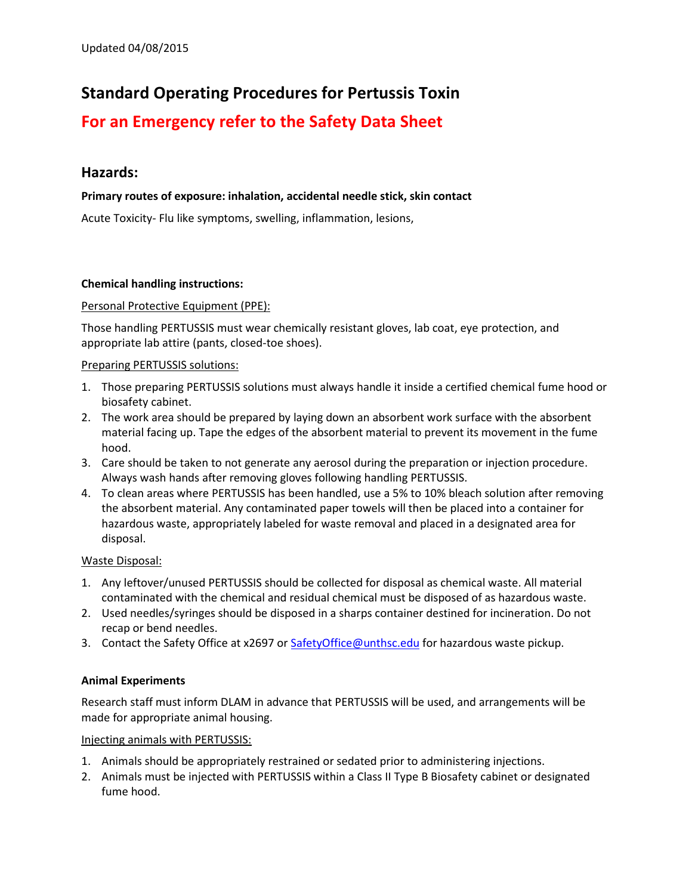# **Standard Operating Procedures for Pertussis Toxin**

# **For an Emergency refer to the Safety Data Sheet**

### **Hazards:**

#### **Primary routes of exposure: inhalation, accidental needle stick, skin contact**

Acute Toxicity- Flu like symptoms, swelling, inflammation, lesions,

#### **Chemical handling instructions:**

#### Personal Protective Equipment (PPE):

Those handling PERTUSSIS must wear chemically resistant gloves, lab coat, eye protection, and appropriate lab attire (pants, closed-toe shoes).

#### Preparing PERTUSSIS solutions:

- 1. Those preparing PERTUSSIS solutions must always handle it inside a certified chemical fume hood or biosafety cabinet.
- 2. The work area should be prepared by laying down an absorbent work surface with the absorbent material facing up. Tape the edges of the absorbent material to prevent its movement in the fume hood.
- 3. Care should be taken to not generate any aerosol during the preparation or injection procedure. Always wash hands after removing gloves following handling PERTUSSIS.
- 4. To clean areas where PERTUSSIS has been handled, use a 5% to 10% bleach solution after removing the absorbent material. Any contaminated paper towels will then be placed into a container for hazardous waste, appropriately labeled for waste removal and placed in a designated area for disposal.

#### Waste Disposal:

- 1. Any leftover/unused PERTUSSIS should be collected for disposal as chemical waste. All material contaminated with the chemical and residual chemical must be disposed of as hazardous waste.
- 2. Used needles/syringes should be disposed in a sharps container destined for incineration. Do not recap or bend needles.
- 3. Contact the Safety Office at x2697 or [SafetyOffice@unthsc.edu](mailto:SafetyOffice@unthsc.edu) for hazardous waste pickup.

#### **Animal Experiments**

Research staff must inform DLAM in advance that PERTUSSIS will be used, and arrangements will be made for appropriate animal housing.

#### Injecting animals with PERTUSSIS:

- 1. Animals should be appropriately restrained or sedated prior to administering injections.
- 2. Animals must be injected with PERTUSSIS within a Class II Type B Biosafety cabinet or designated fume hood.